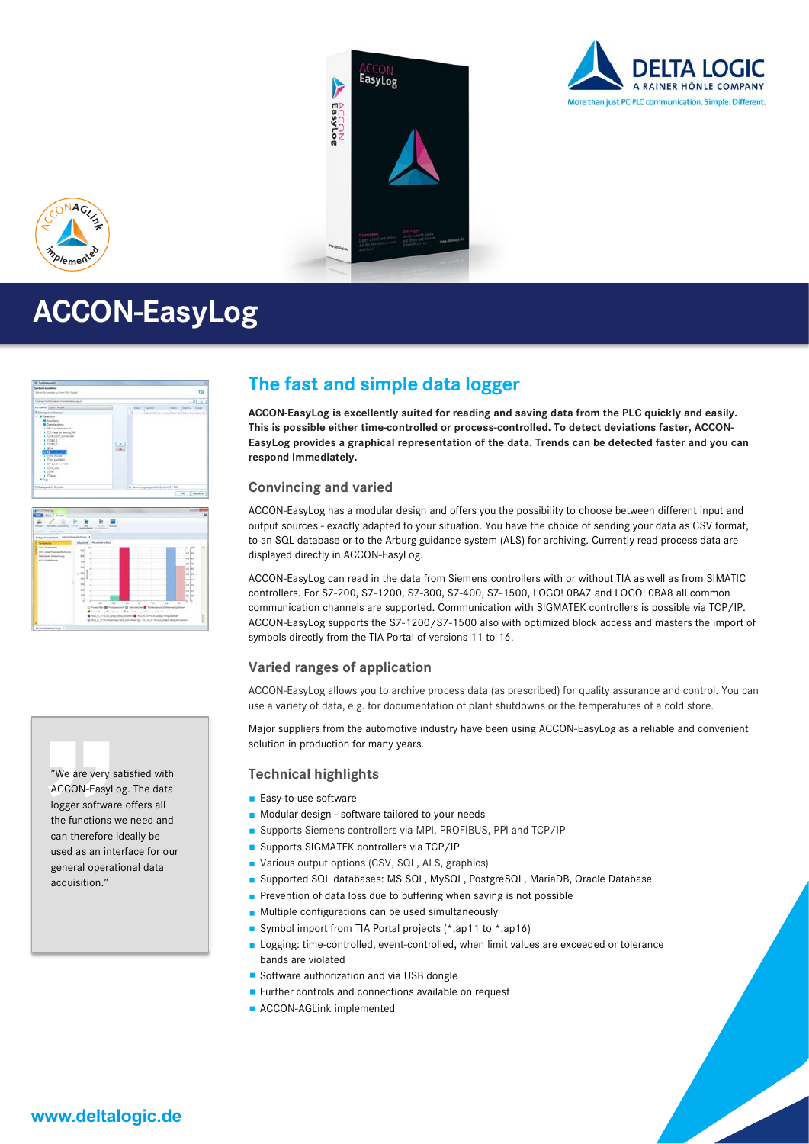





## **ACCON-EasyLog**

| <b>Sundula autombies</b><br>Stations for Latitude Lat Trans TSL - Paged)                                                                                                                                                                                                                                                                                                               |   |             |                                          | $-TH$                                                           |
|----------------------------------------------------------------------------------------------------------------------------------------------------------------------------------------------------------------------------------------------------------------------------------------------------------------------------------------------------------------------------------------|---|-------------|------------------------------------------|-----------------------------------------------------------------|
| Complete Automobile Administration                                                                                                                                                                                                                                                                                                                                                     |   |             |                                          | $-10-1$                                                         |
| <b>Plaine Stached</b>                                                                                                                                                                                                                                                                                                                                                                  |   | Sans  Ledal |                                          | New Davis, Angel                                                |
| 2 Fatermore mobilenter<br>. at freemont -<br><b>III</b> Insulance<br>- III Sateriauskera<br>17 8 W mixed photographs<br>1 B C-Pearler Severa, 28<br>1. 8 (2) 08 LOOP SCHEDULER<br><b>I A TONES</b><br><b>FIRETIMES</b><br>1.4.9244<br><b>THE AMERICAN</b><br>1.8 EXCINER<br>11 & Clark Auctions<br>1 8 27 60 scheduled to<br>1 TOM MAIN<br>318 Elman -<br>$1.14$ Close.<br>C. M. Texas | ۰ |             |                                          | William College Started Lance Cheese Lie College Start Data The |
| 1111 automative Lecture                                                                                                                                                                                                                                                                                                                                                                |   |             | To Generating acquisities between C-4000 |                                                                 |
|                                                                                                                                                                                                                                                                                                                                                                                        |   |             |                                          | $\overline{a}$<br>I enterprises                                 |

| beligements and . however the real                                                           |                                                           |                                                                                                                                                                                                                                  |                                                                                                             |           |   |   |                       |                                                                                                      |  |
|----------------------------------------------------------------------------------------------|-----------------------------------------------------------|----------------------------------------------------------------------------------------------------------------------------------------------------------------------------------------------------------------------------------|-------------------------------------------------------------------------------------------------------------|-----------|---|---|-----------------------|------------------------------------------------------------------------------------------------------|--|
|                                                                                              | Abustum Abulance print                                    |                                                                                                                                                                                                                                  |                                                                                                             |           |   |   |                       |                                                                                                      |  |
| Dr-Bakerne<br>Life: Church American Management<br><b>Doctorn Arbechivity</b><br>43 Folkstein | мí<br>m<br>$\sim$<br>u<br>$\overline{a}$<br>m)<br>ы<br>ij |                                                                                                                                                                                                                                  |                                                                                                             |           |   |   | ×<br>÷<br>۰<br>٠<br>٠ | Jay 144<br>las les<br>Tei Ite<br>lai lai<br>as lat of<br>los las<br>ku lis<br>ex Lee<br>mi in<br>u.u |  |
|                                                                                              |                                                           | m<br>Press Att & Forestonic Distances & Forechold Streetwick Library<br>Pusadeury Olar Guitares El Publishmay Schlamte III Guitares<br>USE NEL AL AT NOW, Read of long declarates and NEC, AL AT ACA . Read of large in language | $\overline{1}$<br>B NGC AC or without level (Away And Associated B) With MC of without descriptions between | <b>SI</b> | w | w | $\overline{1}$        |                                                                                                      |  |



### **The fast and simple data logger**

**ACCON-EasyLog is excellently suited for reading and saving data from the PLC quickly and easily. This is possible either time-controlled or process-controlled. To detect deviations faster, ACCON-EasyLog provides a graphical representation of the data. Trends can be detected faster and you can respond immediately.**

#### **Convincing and varied**

ACCON-EasyLog has a modular design and offers you the possibility to choose between different input and output sources - exactly adapted to your situation. You have the choice of sending your data as CSV format, to an SQL database or to the Arburg guidance system (ALS) for archiving. Currently read process data are displayed directly in ACCON-EasyLog.

ACCON-EasyLog can read in the data from Siemens controllers with or without TIA as well as from SIMATIC controllers. For S7-200, S7-1200, S7-300, S7-400, S7-1500, LOGO! 0BA7 and LOGO! 0BA8 all common communication channels are supported. Communication with SIGMATEK controllers is possible via TCP/IP. ACCON-EasyLog supports the S7-1200/S7-1500 also with optimized block access and masters the import of symbols directly from the TIA Portal of versions 11 to 16.

#### **Varied ranges of application**

ACCON-EasyLog allows you to archive process data (as prescribed) for quality assurance and control. You can use a variety of data, e.g. for documentation of plant shutdowns or the temperatures of a cold store.

Major suppliers from the automotive industry have been using ACCON-EasyLog as a reliable and convenient solution in production for many years.

#### **Technical highlights**

- **Easy-to-use software**
- Modular design software tailored to your needs
- Supports Siemens controllers via MPI, PROFIBUS, PPI and TCP/IP
- **Supports SIGMATEK controllers via TCP/IP**
- Various output options (CSV, SQL, ALS, graphics)
- Supported SQL databases: MS SQL, MySQL, PostgreSQL, MariaDB, Oracle Database
- Prevention of data loss due to buffering when saving is not possible
- **Multiple configurations can be used simultaneously**
- Symbol import from TIA Portal projects (\*.ap11 to \*.ap16)
- Logging: time-controlled, event-controlled, when limit values are exceeded or tolerance bands are violated
- Software authorization and via USB dongle
- **Further controls and connections available on request**
- **ACCON-AGLink implemented**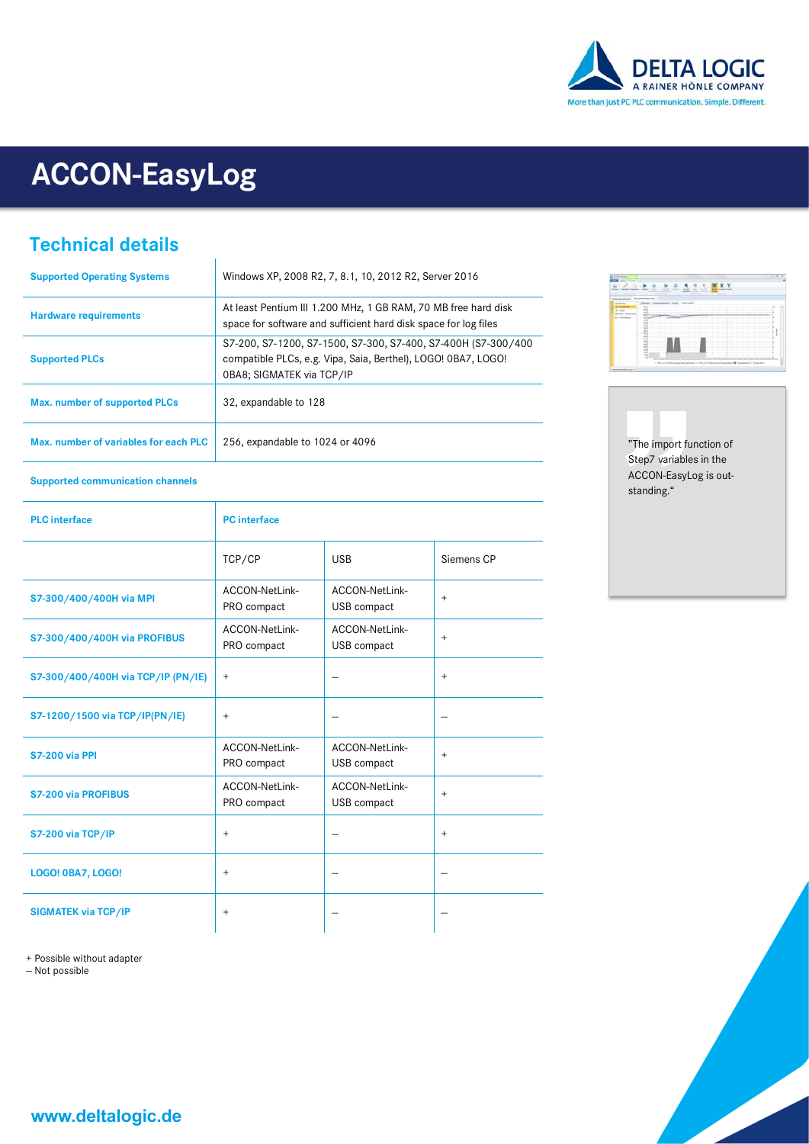

# **ACCON-EasyLog**

 $\overline{1}$ 

## **Technical details**

| <b>Supported Operating Systems</b>    | Windows XP, 2008 R2, 7, 8.1, 10, 2012 R2, Server 2016                                                                                                       |
|---------------------------------------|-------------------------------------------------------------------------------------------------------------------------------------------------------------|
| <b>Hardware requirements</b>          | At least Pentium III 1.200 MHz, 1 GB RAM, 70 MB free hard disk<br>space for software and sufficient hard disk space for log files                           |
| <b>Supported PLCs</b>                 | S7-200, S7-1200, S7-1500, S7-300, S7-400, S7-400H (S7-300/400<br>compatible PLCs, e.g. Vipa, Saia, Berthel), LOGO! 0BA7, LOGO!<br>0BA8; SIGMATEK via TCP/IP |
| Max. number of supported PLCs         | 32, expandable to 128                                                                                                                                       |
| Max. number of variables for each PLC | 256, expandable to 1024 or 4096                                                                                                                             |



"The import function of Step7 variables in the ACCON-EasyLog is outstanding."

#### **Supported communication channels**

| <b>PLC</b> interface               | <b>PC</b> interface           |                               |            |
|------------------------------------|-------------------------------|-------------------------------|------------|
|                                    | TCP/CP                        | <b>USB</b>                    | Siemens CP |
| S7-300/400/400H via MPI            | ACCON-NetLink-<br>PRO compact | ACCON-NetLink-<br>USB compact | $\ddot{}$  |
| S7-300/400/400H via PROFIBUS       | ACCON-NetLink-<br>PRO compact | ACCON-NetLink-<br>USB compact | $\ddot{}$  |
| S7-300/400/400H via TCP/IP (PN/IE) | $^{+}$                        |                               | $\ddot{}$  |
| S7-1200/1500 via TCP/IP(PN/IE)     | $\ddot{}$                     |                               |            |
| <b>S7-200 via PPI</b>              | ACCON-NetLink-<br>PRO compact | ACCON-NetLink-<br>USB compact | $+$        |
| <b>S7-200 via PROFIBUS</b>         | ACCON-NetLink-<br>PRO compact | ACCON-NetLink-<br>USB compact | $\ddot{}$  |
| S7-200 via TCP/IP                  | $\qquad \qquad +$             |                               | $\ddot{}$  |
| <b>LOGO! 0BA7, LOGO!</b>           | $\ddot{}$                     |                               |            |
| <b>SIGMATEK via TCP/IP</b>         | $^{+}$                        |                               |            |

+ Possible without adapter

- Not possible